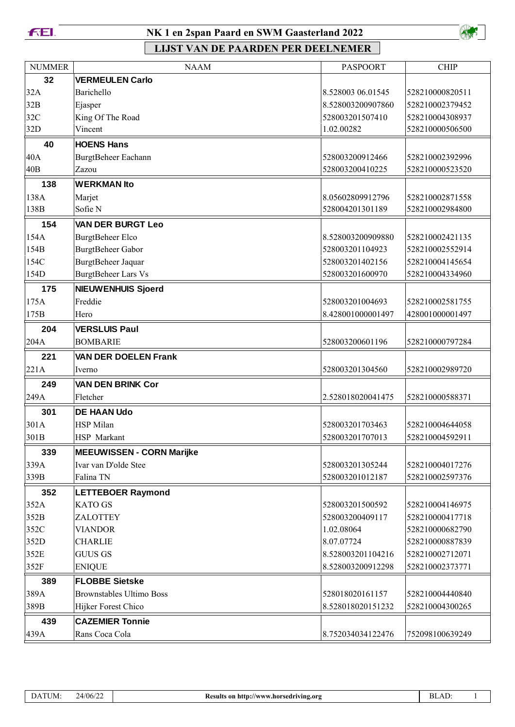

### **NK 1 en 2span Paard en SWM Gaasterland 2022**



| <b>NUMMER</b> | <b>NAAM</b>                              | <b>PASPOORT</b>                      | <b>CHIP</b>                        |
|---------------|------------------------------------------|--------------------------------------|------------------------------------|
| 32            | <b>VERMEULEN Carlo</b>                   |                                      |                                    |
| 32A           | Barichello                               | 8.528003 06.01545                    | 528210000820511                    |
| 32B           | Ejasper                                  | 8.528003200907860                    | 528210002379452                    |
| 32C           | King Of The Road                         | 528003201507410                      | 528210004308937                    |
| 32D           | Vincent                                  | 1.02.00282                           | 528210000506500                    |
| 40            | <b>HOENS Hans</b>                        |                                      |                                    |
| 40A           | BurgtBeheer Eachann                      | 528003200912466                      | 528210002392996                    |
| 40B           | Zazou                                    | 528003200410225                      | 528210000523520                    |
| 138           | <b>WERKMAN Ito</b>                       |                                      |                                    |
| 138A          | Marjet                                   | 8.05602809912796                     | 528210002871558                    |
| 138B          | Sofie N                                  | 528004201301189                      | 528210002984800                    |
| 154           | <b>VAN DER BURGT Leo</b>                 |                                      |                                    |
| 154A          | <b>BurgtBeheer Elco</b>                  | 8.528003200909880                    | 528210002421135                    |
| 154B          | BurgtBeheer Gabor                        | 528003201104923                      | 528210002552914                    |
| 154C          | BurgtBeheer Jaquar                       | 528003201402156                      | 528210004145654                    |
| 154D          | <b>BurgtBeheer Lars Vs</b>               | 528003201600970                      | 528210004334960                    |
| 175           | <b>NIEUWENHUIS Sjoerd</b>                |                                      |                                    |
| 175A          | Freddie                                  | 528003201004693                      | 528210002581755                    |
| 175B          | Hero                                     | 8.428001000001497                    | 428001000001497                    |
| 204           | <b>VERSLUIS Paul</b>                     |                                      |                                    |
| 204A          | <b>BOMBARIE</b>                          | 528003200601196                      | 528210000797284                    |
| 221           | <b>VAN DER DOELEN Frank</b>              |                                      |                                    |
| 221A          | Iverno                                   | 528003201304560                      | 528210002989720                    |
| 249           | <b>VAN DEN BRINK Cor</b>                 |                                      |                                    |
| 249A          | Fletcher                                 | 2.528018020041475                    | 528210000588371                    |
| 301           | <b>DE HAAN Udo</b>                       |                                      |                                    |
| 301A          | <b>HSP</b> Milan                         | 528003201703463                      | 528210004644058                    |
| 301B          | HSP Markant                              | 528003201707013                      | 528210004592911                    |
| 339           | <b>MEEUWISSEN - CORN Marijke</b>         |                                      |                                    |
| 339A          | Ivar van D'olde Stee                     | 528003201305244                      | 528210004017276                    |
| 339B          | Falina TN                                | 528003201012187                      | 528210002597376                    |
| 352           | <b>LETTEBOER Raymond</b>                 |                                      |                                    |
| 352A          |                                          |                                      |                                    |
| 352B          |                                          |                                      |                                    |
|               | <b>KATO GS</b>                           | 528003201500592                      | 528210004146975                    |
|               | ZALOTTEY                                 | 528003200409117                      | 528210000417718                    |
| 352C          | <b>VIANDOR</b>                           | 1.02.08064                           | 528210000682790                    |
| 352D          | <b>CHARLIE</b>                           | 8.07.07724                           | 528210000887839                    |
| 352E          | <b>GUUS GS</b>                           | 8.528003201104216                    | 528210002712071                    |
| 352F          | <b>ENIQUE</b>                            | 8.528003200912298                    | 528210002373771                    |
| 389           | <b>FLOBBE Sietske</b>                    |                                      |                                    |
| 389A          | <b>Brownstables Ultimo Boss</b>          | 528018020161157<br>8.528018020151232 | 528210004440840<br>528210004300265 |
| 389B          | Hijker Forest Chico                      |                                      |                                    |
| 439<br>439A   | <b>CAZEMIER Tonnie</b><br>Rans Coca Cola | 8.752034034122476                    | 752098100639249                    |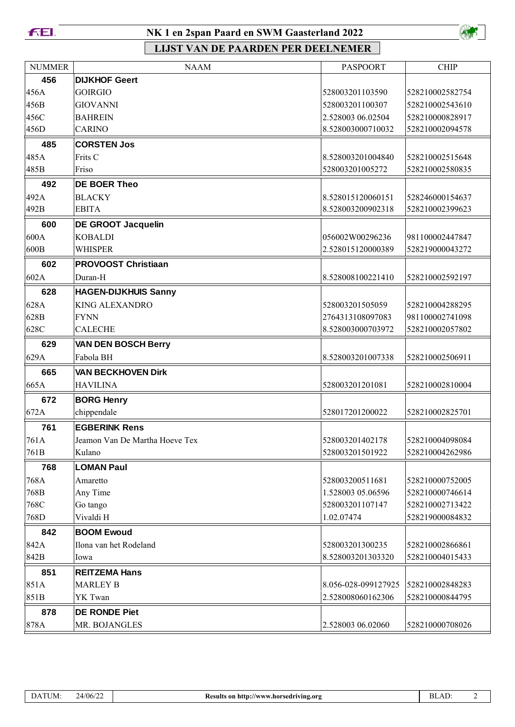**FEI.** 

### NK 1 en 2span Paard en SWM Gaasterland 2022



| <b>NUMMER</b> | <b>NAAM</b>                    | <b>PASPOORT</b>     | <b>CHIP</b>     |
|---------------|--------------------------------|---------------------|-----------------|
| 456           | <b>DIJKHOF Geert</b>           |                     |                 |
| 456A          | <b>GOIRGIO</b>                 | 528003201103590     | 528210002582754 |
| 456B          | <b>GIOVANNI</b>                | 528003201100307     | 528210002543610 |
| 456C          | <b>BAHREIN</b>                 | 2.528003 06.02504   | 528210000828917 |
| 456D          | <b>CARINO</b>                  | 8.528003000710032   | 528210002094578 |
| 485           | <b>CORSTEN Jos</b>             |                     |                 |
| 485A          | Frits C                        | 8.528003201004840   | 528210002515648 |
| 485B          | Friso                          | 528003201005272     | 528210002580835 |
| 492           | <b>DE BOER Theo</b>            |                     |                 |
| 492A          | <b>BLACKY</b>                  | 8.528015120060151   | 528246000154637 |
| 492B          | <b>EBITA</b>                   | 8.528003200902318   | 528210002399623 |
| 600           | <b>DE GROOT Jacquelin</b>      |                     |                 |
| 600A          | <b>KOBALDI</b>                 | 056002W00296236     | 981100002447847 |
| 600B          | WHISPER                        | 2.528015120000389   | 528219000043272 |
| 602           | <b>PROVOOST Christiaan</b>     |                     |                 |
| 602A          | Duran-H                        | 8.528008100221410   | 528210002592197 |
| 628           | <b>HAGEN-DIJKHUIS Sanny</b>    |                     |                 |
| 628A          | <b>KING ALEXANDRO</b>          | 528003201505059     | 528210004288295 |
| 628B          | <b>FYNN</b>                    | 2764313108097083    | 981100002741098 |
| 628C          | <b>CALECHE</b>                 | 8.528003000703972   | 528210002057802 |
| 629           | <b>VAN DEN BOSCH Berry</b>     |                     |                 |
| 629A          | Fabola BH                      | 8.528003201007338   | 528210002506911 |
| 665           | <b>VAN BECKHOVEN Dirk</b>      |                     |                 |
| 665A          | <b>HAVILINA</b>                | 528003201201081     | 528210002810004 |
| 672           | <b>BORG Henry</b>              |                     |                 |
| 672A          | chippendale                    | 528017201200022     | 528210002825701 |
| 761           | <b>EGBERINK Rens</b>           |                     |                 |
| 761A          | Jeamon Van De Martha Hoeve Tex | 528003201402178     | 528210004098084 |
| 761B          | Kulano                         | 528003201501922     | 528210004262986 |
| 768           | <b>LOMAN Paul</b>              |                     |                 |
| 768A          | Amaretto                       | 528003200511681     | 528210000752005 |
| 768B          | Any Time                       | 1.528003 05.06596   | 528210000746614 |
| 768C          | Go tango                       | 528003201107147     | 528210002713422 |
| 768D          | Vivaldi H                      | 1.02.07474          | 528219000084832 |
| 842           | <b>BOOM Ewoud</b>              |                     |                 |
| 842A          | Ilona van het Rodeland         | 528003201300235     | 528210002866861 |
| 842B          | Iowa                           | 8.528003201303320   | 528210004015433 |
| 851           | <b>REITZEMA Hans</b>           |                     |                 |
| 851A          | <b>MARLEY B</b>                | 8.056-028-099127925 | 528210002848283 |
| 851B          | YK Twan                        | 2.528008060162306   | 528210000844795 |
| 878           | <b>DE RONDE Piet</b>           |                     |                 |
| 878A          | MR. BOJANGLES                  | 2.528003 06.02060   | 528210000708026 |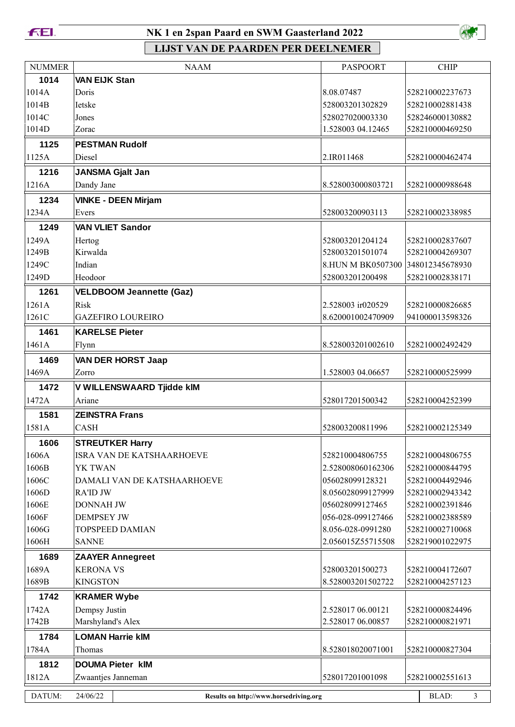**FEL** 

# NK 1 en 2span Paard en SWM Gaasterland 2022



| 1014<br><b>VAN EIJK Stan</b><br>1014A<br>Doris<br>8.08.07487<br>528210002237673<br>1014B<br>528210002881438<br>Ietske<br>528003201302829<br>1014C<br>528027020003330<br>528246000130882<br>Jones<br>1014D<br>1.528003 04.12465<br>528210000469250<br>Zorac<br><b>PESTMAN Rudolf</b><br>1125<br>1125A<br>Diesel<br>2.IR011468<br>528210000462474<br>1216<br><b>JANSMA Gjalt Jan</b><br>Dandy Jane<br>1216A<br>8.528003000803721<br>528210000988648<br>1234<br><b>VINKE - DEEN Mirjam</b><br>1234A<br>528003200903113<br>528210002338985<br>Evers<br><b>VAN VLIET Sandor</b><br>1249<br>1249A<br>528003201204124<br>528210002837607<br>Hertog<br>Kirwalda<br>1249B<br>528003201501074<br>528210004269307<br>1249C<br>Indian<br>8.HUN M BK0507300 348012345678930<br>1249D<br>Heodoor<br>528003201200498<br>528210002838171<br>1261<br><b>VELDBOOM Jeannette (Gaz)</b><br>1261A<br>2.528003 ir020529<br>528210000826685<br>Risk<br><b>GAZEFIRO LOUREIRO</b><br>1261C<br>8.620001002470909<br>941000013598326<br>1461<br><b>KARELSE Pieter</b><br>1461A<br>8.528003201002610<br>528210002492429<br>Flynn<br>1469<br><b>VAN DER HORST Jaap</b><br>1469A<br>1.528003 04.06657<br>528210000525999<br>Zorro<br>1472<br>V WILLENSWAARD Tjidde kIM<br>1472A<br>Ariane<br>528017201500342<br>528210004252399<br>1581<br><b>ZEINSTRA Frans</b><br>1581A<br><b>CASH</b><br>528003200811996<br>528210002125349<br><b>STREUTKER Harry</b><br>1606<br>1606A<br><b>ISRA VAN DE KATSHAARHOEVE</b><br>528210004806755<br>528210004806755<br>1606B<br>YK TWAN<br>2.528008060162306<br>528210000844795<br>1606C<br>DAMALI VAN DE KATSHAARHOEVE<br>056028099128321<br>528210004492946<br>1606D<br><b>RA'ID JW</b><br>8.056028099127999<br>528210002943342<br>1606E<br>056028099127465<br>528210002391846<br><b>DONNAH JW</b><br>1606F<br><b>DEMPSEY JW</b><br>056-028-099127466<br>528210002388589<br>1606G<br><b>TOPSPEED DAMIAN</b><br>8.056-028-0991280<br>528210002710068<br>1606H<br><b>SANNE</b><br>2.056015Z55715508<br>528219001022975<br>1689<br><b>ZAAYER Annegreet</b><br>1689A<br><b>KERONA VS</b><br>528003201500273<br>528210004172607<br>1689B<br><b>KINGSTON</b><br>8.528003201502722<br>528210004257123<br>1742<br><b>KRAMER Wybe</b><br>1742A<br>Dempsy Justin<br>2.528017 06.00121<br>528210000824496<br>Marshyland's Alex<br>2.528017 06.00857<br>1742B<br>528210000821971<br><b>LOMAN Harrie kIM</b><br>1784<br>1784A<br>8.528018020071001<br>528210000827304<br>Thomas<br>1812<br><b>DOUMA Pieter kIM</b><br>1812A<br>Zwaantjes Janneman<br>528017201001098<br>528210002551613<br>24/06/22<br>BLAD:<br>DATUM:<br>$\mathcal{L}$<br>Results on http://www.horsedriving.org | <b>NUMMER</b> | <b>NAAM</b> | <b>PASPOORT</b> | <b>CHIP</b> |
|--------------------------------------------------------------------------------------------------------------------------------------------------------------------------------------------------------------------------------------------------------------------------------------------------------------------------------------------------------------------------------------------------------------------------------------------------------------------------------------------------------------------------------------------------------------------------------------------------------------------------------------------------------------------------------------------------------------------------------------------------------------------------------------------------------------------------------------------------------------------------------------------------------------------------------------------------------------------------------------------------------------------------------------------------------------------------------------------------------------------------------------------------------------------------------------------------------------------------------------------------------------------------------------------------------------------------------------------------------------------------------------------------------------------------------------------------------------------------------------------------------------------------------------------------------------------------------------------------------------------------------------------------------------------------------------------------------------------------------------------------------------------------------------------------------------------------------------------------------------------------------------------------------------------------------------------------------------------------------------------------------------------------------------------------------------------------------------------------------------------------------------------------------------------------------------------------------------------------------------------------------------------------------------------------------------------------------------------------------------------------------------------------------------------------------------------------------------------------------------------------------------------------------------------------------------------------------------------------------------------------------------------------------------------------|---------------|-------------|-----------------|-------------|
|                                                                                                                                                                                                                                                                                                                                                                                                                                                                                                                                                                                                                                                                                                                                                                                                                                                                                                                                                                                                                                                                                                                                                                                                                                                                                                                                                                                                                                                                                                                                                                                                                                                                                                                                                                                                                                                                                                                                                                                                                                                                                                                                                                                                                                                                                                                                                                                                                                                                                                                                                                                                                                                                          |               |             |                 |             |
|                                                                                                                                                                                                                                                                                                                                                                                                                                                                                                                                                                                                                                                                                                                                                                                                                                                                                                                                                                                                                                                                                                                                                                                                                                                                                                                                                                                                                                                                                                                                                                                                                                                                                                                                                                                                                                                                                                                                                                                                                                                                                                                                                                                                                                                                                                                                                                                                                                                                                                                                                                                                                                                                          |               |             |                 |             |
|                                                                                                                                                                                                                                                                                                                                                                                                                                                                                                                                                                                                                                                                                                                                                                                                                                                                                                                                                                                                                                                                                                                                                                                                                                                                                                                                                                                                                                                                                                                                                                                                                                                                                                                                                                                                                                                                                                                                                                                                                                                                                                                                                                                                                                                                                                                                                                                                                                                                                                                                                                                                                                                                          |               |             |                 |             |
|                                                                                                                                                                                                                                                                                                                                                                                                                                                                                                                                                                                                                                                                                                                                                                                                                                                                                                                                                                                                                                                                                                                                                                                                                                                                                                                                                                                                                                                                                                                                                                                                                                                                                                                                                                                                                                                                                                                                                                                                                                                                                                                                                                                                                                                                                                                                                                                                                                                                                                                                                                                                                                                                          |               |             |                 |             |
|                                                                                                                                                                                                                                                                                                                                                                                                                                                                                                                                                                                                                                                                                                                                                                                                                                                                                                                                                                                                                                                                                                                                                                                                                                                                                                                                                                                                                                                                                                                                                                                                                                                                                                                                                                                                                                                                                                                                                                                                                                                                                                                                                                                                                                                                                                                                                                                                                                                                                                                                                                                                                                                                          |               |             |                 |             |
|                                                                                                                                                                                                                                                                                                                                                                                                                                                                                                                                                                                                                                                                                                                                                                                                                                                                                                                                                                                                                                                                                                                                                                                                                                                                                                                                                                                                                                                                                                                                                                                                                                                                                                                                                                                                                                                                                                                                                                                                                                                                                                                                                                                                                                                                                                                                                                                                                                                                                                                                                                                                                                                                          |               |             |                 |             |
|                                                                                                                                                                                                                                                                                                                                                                                                                                                                                                                                                                                                                                                                                                                                                                                                                                                                                                                                                                                                                                                                                                                                                                                                                                                                                                                                                                                                                                                                                                                                                                                                                                                                                                                                                                                                                                                                                                                                                                                                                                                                                                                                                                                                                                                                                                                                                                                                                                                                                                                                                                                                                                                                          |               |             |                 |             |
|                                                                                                                                                                                                                                                                                                                                                                                                                                                                                                                                                                                                                                                                                                                                                                                                                                                                                                                                                                                                                                                                                                                                                                                                                                                                                                                                                                                                                                                                                                                                                                                                                                                                                                                                                                                                                                                                                                                                                                                                                                                                                                                                                                                                                                                                                                                                                                                                                                                                                                                                                                                                                                                                          |               |             |                 |             |
|                                                                                                                                                                                                                                                                                                                                                                                                                                                                                                                                                                                                                                                                                                                                                                                                                                                                                                                                                                                                                                                                                                                                                                                                                                                                                                                                                                                                                                                                                                                                                                                                                                                                                                                                                                                                                                                                                                                                                                                                                                                                                                                                                                                                                                                                                                                                                                                                                                                                                                                                                                                                                                                                          |               |             |                 |             |
|                                                                                                                                                                                                                                                                                                                                                                                                                                                                                                                                                                                                                                                                                                                                                                                                                                                                                                                                                                                                                                                                                                                                                                                                                                                                                                                                                                                                                                                                                                                                                                                                                                                                                                                                                                                                                                                                                                                                                                                                                                                                                                                                                                                                                                                                                                                                                                                                                                                                                                                                                                                                                                                                          |               |             |                 |             |
|                                                                                                                                                                                                                                                                                                                                                                                                                                                                                                                                                                                                                                                                                                                                                                                                                                                                                                                                                                                                                                                                                                                                                                                                                                                                                                                                                                                                                                                                                                                                                                                                                                                                                                                                                                                                                                                                                                                                                                                                                                                                                                                                                                                                                                                                                                                                                                                                                                                                                                                                                                                                                                                                          |               |             |                 |             |
|                                                                                                                                                                                                                                                                                                                                                                                                                                                                                                                                                                                                                                                                                                                                                                                                                                                                                                                                                                                                                                                                                                                                                                                                                                                                                                                                                                                                                                                                                                                                                                                                                                                                                                                                                                                                                                                                                                                                                                                                                                                                                                                                                                                                                                                                                                                                                                                                                                                                                                                                                                                                                                                                          |               |             |                 |             |
|                                                                                                                                                                                                                                                                                                                                                                                                                                                                                                                                                                                                                                                                                                                                                                                                                                                                                                                                                                                                                                                                                                                                                                                                                                                                                                                                                                                                                                                                                                                                                                                                                                                                                                                                                                                                                                                                                                                                                                                                                                                                                                                                                                                                                                                                                                                                                                                                                                                                                                                                                                                                                                                                          |               |             |                 |             |
|                                                                                                                                                                                                                                                                                                                                                                                                                                                                                                                                                                                                                                                                                                                                                                                                                                                                                                                                                                                                                                                                                                                                                                                                                                                                                                                                                                                                                                                                                                                                                                                                                                                                                                                                                                                                                                                                                                                                                                                                                                                                                                                                                                                                                                                                                                                                                                                                                                                                                                                                                                                                                                                                          |               |             |                 |             |
|                                                                                                                                                                                                                                                                                                                                                                                                                                                                                                                                                                                                                                                                                                                                                                                                                                                                                                                                                                                                                                                                                                                                                                                                                                                                                                                                                                                                                                                                                                                                                                                                                                                                                                                                                                                                                                                                                                                                                                                                                                                                                                                                                                                                                                                                                                                                                                                                                                                                                                                                                                                                                                                                          |               |             |                 |             |
|                                                                                                                                                                                                                                                                                                                                                                                                                                                                                                                                                                                                                                                                                                                                                                                                                                                                                                                                                                                                                                                                                                                                                                                                                                                                                                                                                                                                                                                                                                                                                                                                                                                                                                                                                                                                                                                                                                                                                                                                                                                                                                                                                                                                                                                                                                                                                                                                                                                                                                                                                                                                                                                                          |               |             |                 |             |
|                                                                                                                                                                                                                                                                                                                                                                                                                                                                                                                                                                                                                                                                                                                                                                                                                                                                                                                                                                                                                                                                                                                                                                                                                                                                                                                                                                                                                                                                                                                                                                                                                                                                                                                                                                                                                                                                                                                                                                                                                                                                                                                                                                                                                                                                                                                                                                                                                                                                                                                                                                                                                                                                          |               |             |                 |             |
|                                                                                                                                                                                                                                                                                                                                                                                                                                                                                                                                                                                                                                                                                                                                                                                                                                                                                                                                                                                                                                                                                                                                                                                                                                                                                                                                                                                                                                                                                                                                                                                                                                                                                                                                                                                                                                                                                                                                                                                                                                                                                                                                                                                                                                                                                                                                                                                                                                                                                                                                                                                                                                                                          |               |             |                 |             |
|                                                                                                                                                                                                                                                                                                                                                                                                                                                                                                                                                                                                                                                                                                                                                                                                                                                                                                                                                                                                                                                                                                                                                                                                                                                                                                                                                                                                                                                                                                                                                                                                                                                                                                                                                                                                                                                                                                                                                                                                                                                                                                                                                                                                                                                                                                                                                                                                                                                                                                                                                                                                                                                                          |               |             |                 |             |
|                                                                                                                                                                                                                                                                                                                                                                                                                                                                                                                                                                                                                                                                                                                                                                                                                                                                                                                                                                                                                                                                                                                                                                                                                                                                                                                                                                                                                                                                                                                                                                                                                                                                                                                                                                                                                                                                                                                                                                                                                                                                                                                                                                                                                                                                                                                                                                                                                                                                                                                                                                                                                                                                          |               |             |                 |             |
|                                                                                                                                                                                                                                                                                                                                                                                                                                                                                                                                                                                                                                                                                                                                                                                                                                                                                                                                                                                                                                                                                                                                                                                                                                                                                                                                                                                                                                                                                                                                                                                                                                                                                                                                                                                                                                                                                                                                                                                                                                                                                                                                                                                                                                                                                                                                                                                                                                                                                                                                                                                                                                                                          |               |             |                 |             |
|                                                                                                                                                                                                                                                                                                                                                                                                                                                                                                                                                                                                                                                                                                                                                                                                                                                                                                                                                                                                                                                                                                                                                                                                                                                                                                                                                                                                                                                                                                                                                                                                                                                                                                                                                                                                                                                                                                                                                                                                                                                                                                                                                                                                                                                                                                                                                                                                                                                                                                                                                                                                                                                                          |               |             |                 |             |
|                                                                                                                                                                                                                                                                                                                                                                                                                                                                                                                                                                                                                                                                                                                                                                                                                                                                                                                                                                                                                                                                                                                                                                                                                                                                                                                                                                                                                                                                                                                                                                                                                                                                                                                                                                                                                                                                                                                                                                                                                                                                                                                                                                                                                                                                                                                                                                                                                                                                                                                                                                                                                                                                          |               |             |                 |             |
|                                                                                                                                                                                                                                                                                                                                                                                                                                                                                                                                                                                                                                                                                                                                                                                                                                                                                                                                                                                                                                                                                                                                                                                                                                                                                                                                                                                                                                                                                                                                                                                                                                                                                                                                                                                                                                                                                                                                                                                                                                                                                                                                                                                                                                                                                                                                                                                                                                                                                                                                                                                                                                                                          |               |             |                 |             |
|                                                                                                                                                                                                                                                                                                                                                                                                                                                                                                                                                                                                                                                                                                                                                                                                                                                                                                                                                                                                                                                                                                                                                                                                                                                                                                                                                                                                                                                                                                                                                                                                                                                                                                                                                                                                                                                                                                                                                                                                                                                                                                                                                                                                                                                                                                                                                                                                                                                                                                                                                                                                                                                                          |               |             |                 |             |
|                                                                                                                                                                                                                                                                                                                                                                                                                                                                                                                                                                                                                                                                                                                                                                                                                                                                                                                                                                                                                                                                                                                                                                                                                                                                                                                                                                                                                                                                                                                                                                                                                                                                                                                                                                                                                                                                                                                                                                                                                                                                                                                                                                                                                                                                                                                                                                                                                                                                                                                                                                                                                                                                          |               |             |                 |             |
|                                                                                                                                                                                                                                                                                                                                                                                                                                                                                                                                                                                                                                                                                                                                                                                                                                                                                                                                                                                                                                                                                                                                                                                                                                                                                                                                                                                                                                                                                                                                                                                                                                                                                                                                                                                                                                                                                                                                                                                                                                                                                                                                                                                                                                                                                                                                                                                                                                                                                                                                                                                                                                                                          |               |             |                 |             |
|                                                                                                                                                                                                                                                                                                                                                                                                                                                                                                                                                                                                                                                                                                                                                                                                                                                                                                                                                                                                                                                                                                                                                                                                                                                                                                                                                                                                                                                                                                                                                                                                                                                                                                                                                                                                                                                                                                                                                                                                                                                                                                                                                                                                                                                                                                                                                                                                                                                                                                                                                                                                                                                                          |               |             |                 |             |
|                                                                                                                                                                                                                                                                                                                                                                                                                                                                                                                                                                                                                                                                                                                                                                                                                                                                                                                                                                                                                                                                                                                                                                                                                                                                                                                                                                                                                                                                                                                                                                                                                                                                                                                                                                                                                                                                                                                                                                                                                                                                                                                                                                                                                                                                                                                                                                                                                                                                                                                                                                                                                                                                          |               |             |                 |             |
|                                                                                                                                                                                                                                                                                                                                                                                                                                                                                                                                                                                                                                                                                                                                                                                                                                                                                                                                                                                                                                                                                                                                                                                                                                                                                                                                                                                                                                                                                                                                                                                                                                                                                                                                                                                                                                                                                                                                                                                                                                                                                                                                                                                                                                                                                                                                                                                                                                                                                                                                                                                                                                                                          |               |             |                 |             |
|                                                                                                                                                                                                                                                                                                                                                                                                                                                                                                                                                                                                                                                                                                                                                                                                                                                                                                                                                                                                                                                                                                                                                                                                                                                                                                                                                                                                                                                                                                                                                                                                                                                                                                                                                                                                                                                                                                                                                                                                                                                                                                                                                                                                                                                                                                                                                                                                                                                                                                                                                                                                                                                                          |               |             |                 |             |
|                                                                                                                                                                                                                                                                                                                                                                                                                                                                                                                                                                                                                                                                                                                                                                                                                                                                                                                                                                                                                                                                                                                                                                                                                                                                                                                                                                                                                                                                                                                                                                                                                                                                                                                                                                                                                                                                                                                                                                                                                                                                                                                                                                                                                                                                                                                                                                                                                                                                                                                                                                                                                                                                          |               |             |                 |             |
|                                                                                                                                                                                                                                                                                                                                                                                                                                                                                                                                                                                                                                                                                                                                                                                                                                                                                                                                                                                                                                                                                                                                                                                                                                                                                                                                                                                                                                                                                                                                                                                                                                                                                                                                                                                                                                                                                                                                                                                                                                                                                                                                                                                                                                                                                                                                                                                                                                                                                                                                                                                                                                                                          |               |             |                 |             |
|                                                                                                                                                                                                                                                                                                                                                                                                                                                                                                                                                                                                                                                                                                                                                                                                                                                                                                                                                                                                                                                                                                                                                                                                                                                                                                                                                                                                                                                                                                                                                                                                                                                                                                                                                                                                                                                                                                                                                                                                                                                                                                                                                                                                                                                                                                                                                                                                                                                                                                                                                                                                                                                                          |               |             |                 |             |
|                                                                                                                                                                                                                                                                                                                                                                                                                                                                                                                                                                                                                                                                                                                                                                                                                                                                                                                                                                                                                                                                                                                                                                                                                                                                                                                                                                                                                                                                                                                                                                                                                                                                                                                                                                                                                                                                                                                                                                                                                                                                                                                                                                                                                                                                                                                                                                                                                                                                                                                                                                                                                                                                          |               |             |                 |             |
|                                                                                                                                                                                                                                                                                                                                                                                                                                                                                                                                                                                                                                                                                                                                                                                                                                                                                                                                                                                                                                                                                                                                                                                                                                                                                                                                                                                                                                                                                                                                                                                                                                                                                                                                                                                                                                                                                                                                                                                                                                                                                                                                                                                                                                                                                                                                                                                                                                                                                                                                                                                                                                                                          |               |             |                 |             |
|                                                                                                                                                                                                                                                                                                                                                                                                                                                                                                                                                                                                                                                                                                                                                                                                                                                                                                                                                                                                                                                                                                                                                                                                                                                                                                                                                                                                                                                                                                                                                                                                                                                                                                                                                                                                                                                                                                                                                                                                                                                                                                                                                                                                                                                                                                                                                                                                                                                                                                                                                                                                                                                                          |               |             |                 |             |
|                                                                                                                                                                                                                                                                                                                                                                                                                                                                                                                                                                                                                                                                                                                                                                                                                                                                                                                                                                                                                                                                                                                                                                                                                                                                                                                                                                                                                                                                                                                                                                                                                                                                                                                                                                                                                                                                                                                                                                                                                                                                                                                                                                                                                                                                                                                                                                                                                                                                                                                                                                                                                                                                          |               |             |                 |             |
|                                                                                                                                                                                                                                                                                                                                                                                                                                                                                                                                                                                                                                                                                                                                                                                                                                                                                                                                                                                                                                                                                                                                                                                                                                                                                                                                                                                                                                                                                                                                                                                                                                                                                                                                                                                                                                                                                                                                                                                                                                                                                                                                                                                                                                                                                                                                                                                                                                                                                                                                                                                                                                                                          |               |             |                 |             |
|                                                                                                                                                                                                                                                                                                                                                                                                                                                                                                                                                                                                                                                                                                                                                                                                                                                                                                                                                                                                                                                                                                                                                                                                                                                                                                                                                                                                                                                                                                                                                                                                                                                                                                                                                                                                                                                                                                                                                                                                                                                                                                                                                                                                                                                                                                                                                                                                                                                                                                                                                                                                                                                                          |               |             |                 |             |
|                                                                                                                                                                                                                                                                                                                                                                                                                                                                                                                                                                                                                                                                                                                                                                                                                                                                                                                                                                                                                                                                                                                                                                                                                                                                                                                                                                                                                                                                                                                                                                                                                                                                                                                                                                                                                                                                                                                                                                                                                                                                                                                                                                                                                                                                                                                                                                                                                                                                                                                                                                                                                                                                          |               |             |                 |             |
|                                                                                                                                                                                                                                                                                                                                                                                                                                                                                                                                                                                                                                                                                                                                                                                                                                                                                                                                                                                                                                                                                                                                                                                                                                                                                                                                                                                                                                                                                                                                                                                                                                                                                                                                                                                                                                                                                                                                                                                                                                                                                                                                                                                                                                                                                                                                                                                                                                                                                                                                                                                                                                                                          |               |             |                 |             |
|                                                                                                                                                                                                                                                                                                                                                                                                                                                                                                                                                                                                                                                                                                                                                                                                                                                                                                                                                                                                                                                                                                                                                                                                                                                                                                                                                                                                                                                                                                                                                                                                                                                                                                                                                                                                                                                                                                                                                                                                                                                                                                                                                                                                                                                                                                                                                                                                                                                                                                                                                                                                                                                                          |               |             |                 |             |
|                                                                                                                                                                                                                                                                                                                                                                                                                                                                                                                                                                                                                                                                                                                                                                                                                                                                                                                                                                                                                                                                                                                                                                                                                                                                                                                                                                                                                                                                                                                                                                                                                                                                                                                                                                                                                                                                                                                                                                                                                                                                                                                                                                                                                                                                                                                                                                                                                                                                                                                                                                                                                                                                          |               |             |                 |             |
|                                                                                                                                                                                                                                                                                                                                                                                                                                                                                                                                                                                                                                                                                                                                                                                                                                                                                                                                                                                                                                                                                                                                                                                                                                                                                                                                                                                                                                                                                                                                                                                                                                                                                                                                                                                                                                                                                                                                                                                                                                                                                                                                                                                                                                                                                                                                                                                                                                                                                                                                                                                                                                                                          |               |             |                 |             |
|                                                                                                                                                                                                                                                                                                                                                                                                                                                                                                                                                                                                                                                                                                                                                                                                                                                                                                                                                                                                                                                                                                                                                                                                                                                                                                                                                                                                                                                                                                                                                                                                                                                                                                                                                                                                                                                                                                                                                                                                                                                                                                                                                                                                                                                                                                                                                                                                                                                                                                                                                                                                                                                                          |               |             |                 |             |
|                                                                                                                                                                                                                                                                                                                                                                                                                                                                                                                                                                                                                                                                                                                                                                                                                                                                                                                                                                                                                                                                                                                                                                                                                                                                                                                                                                                                                                                                                                                                                                                                                                                                                                                                                                                                                                                                                                                                                                                                                                                                                                                                                                                                                                                                                                                                                                                                                                                                                                                                                                                                                                                                          |               |             |                 |             |
|                                                                                                                                                                                                                                                                                                                                                                                                                                                                                                                                                                                                                                                                                                                                                                                                                                                                                                                                                                                                                                                                                                                                                                                                                                                                                                                                                                                                                                                                                                                                                                                                                                                                                                                                                                                                                                                                                                                                                                                                                                                                                                                                                                                                                                                                                                                                                                                                                                                                                                                                                                                                                                                                          |               |             |                 |             |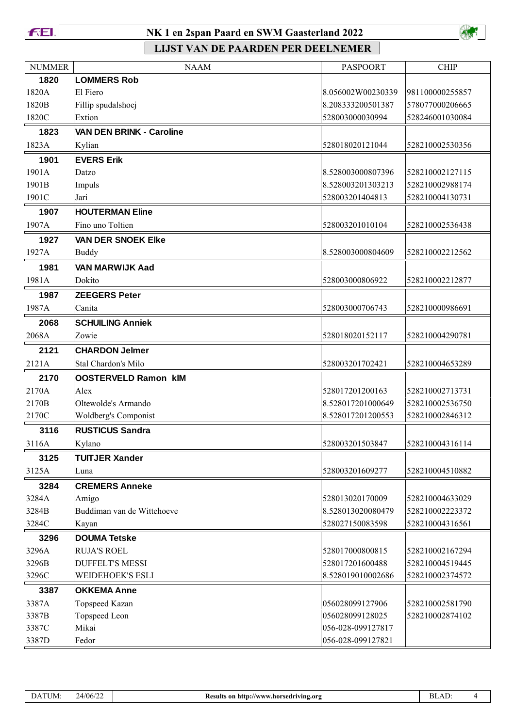

### NK 1 en 2span Paard en SWM Gaasterland 2022



| <b>NUMMER</b> | <b>NAAM</b>                     | <b>PASPOORT</b>   | <b>CHIP</b>     |
|---------------|---------------------------------|-------------------|-----------------|
| 1820          | <b>LOMMERS Rob</b>              |                   |                 |
| 1820A         | El Fiero                        | 8.056002W00230339 | 981100000255857 |
| 1820B         | Fillip spudalshoej              | 8.208333200501387 | 578077000206665 |
| 1820C         | Extion                          | 528003000030994   | 528246001030084 |
| 1823          | <b>VAN DEN BRINK - Caroline</b> |                   |                 |
| 1823A         | Kylian                          | 528018020121044   | 528210002530356 |
| 1901          | <b>EVERS Erik</b>               |                   |                 |
| 1901A         | Datzo                           | 8.528003000807396 | 528210002127115 |
| 1901B         | Impuls                          | 8.528003201303213 | 528210002988174 |
| 1901C         | Jari                            | 528003201404813   | 528210004130731 |
| 1907          | <b>HOUTERMAN Eline</b>          |                   |                 |
| 1907A         | Fino uno Toltien                | 528003201010104   | 528210002536438 |
| 1927          | <b>VAN DER SNOEK Elke</b>       |                   |                 |
| 1927A         | <b>Buddy</b>                    | 8.528003000804609 | 528210002212562 |
| 1981          | <b>VAN MARWIJK Aad</b>          |                   |                 |
| 1981A         | Dokito                          | 528003000806922   | 528210002212877 |
| 1987          | <b>ZEEGERS Peter</b>            |                   |                 |
| 1987A         | Canita                          | 528003000706743   | 528210000986691 |
| 2068          | <b>SCHUILING Anniek</b>         |                   |                 |
| 2068A         | Zowie                           | 528018020152117   | 528210004290781 |
| 2121          | <b>CHARDON Jelmer</b>           |                   |                 |
| 2121A         | Stal Chardon's Milo             | 528003201702421   | 528210004653289 |
| 2170          | <b>OOSTERVELD Ramon kIM</b>     |                   |                 |
| 2170A         | Alex                            | 528017201200163   | 528210002713731 |
| 2170B         | Oltewolde's Armando             | 8.528017201000649 | 528210002536750 |
| 2170C         | Woldberg's Componist            | 8.528017201200553 | 528210002846312 |
| 3116          | <b>RUSTICUS Sandra</b>          |                   |                 |
| 3116A         | Kylano                          | 528003201503847   | 528210004316114 |
| 3125          | <b>TUITJER Xander</b>           |                   |                 |
| 3125A         | Luna                            | 528003201609277   | 528210004510882 |
| 3284          | <b>CREMERS Anneke</b>           |                   |                 |
| 3284A         | Amigo                           | 528013020170009   | 528210004633029 |
| 3284B         | Buddiman van de Wittehoeve      | 8.528013020080479 | 528210002223372 |
| 3284C         | Kayan                           | 528027150083598   | 528210004316561 |
| 3296          | <b>DOUMA Tetske</b>             |                   |                 |
| 3296A         | <b>RUJA'S ROEL</b>              | 528017000800815   | 528210002167294 |
| 3296B         | <b>DUFFELT'S MESSI</b>          | 528017201600488   | 528210004519445 |
| 3296C         | <b>WEIDEHOEK'S ESLI</b>         | 8.528019010002686 | 528210002374572 |
| 3387          | <b>OKKEMA Anne</b>              |                   |                 |
| 3387A         | Topspeed Kazan                  | 056028099127906   | 528210002581790 |
| 3387B         | Topspeed Leon                   | 056028099128025   | 528210002874102 |
| 3387C         | Mikai                           | 056-028-099127817 |                 |
| 3387D         | Fedor                           | 056-028-099127821 |                 |